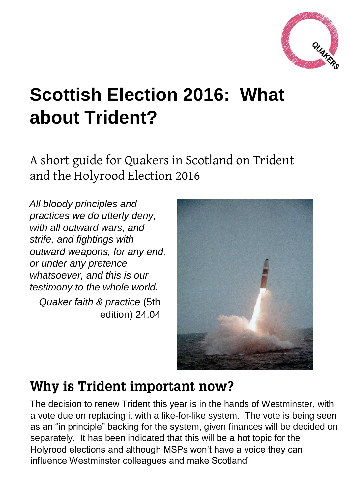

# **Scottish Election 2016: What about Trident?**

A short guide for Quakers in Scotland on Trident and the Holyrood Election 2016

*All bloody principles and practices we do utterly deny, with all outward wars, and strife, and fightings with outward weapons, for any end, or under any pretence whatsoever, and this is our testimony to the whole world. Quaker faith & practice* (5th

edition) 24.04



# Why is Trident important now?

The decision to renew Trident this year is in the hands of Westminster, with a vote due on replacing it with a like-for-like system. The vote is being seen as an "in principle" backing for the system, given finances will be decided on separately. It has been indicated that this will be a hot topic for the Holyrood elections and although MSPs won't have a voice they can influence Westminster colleagues and make Scotland'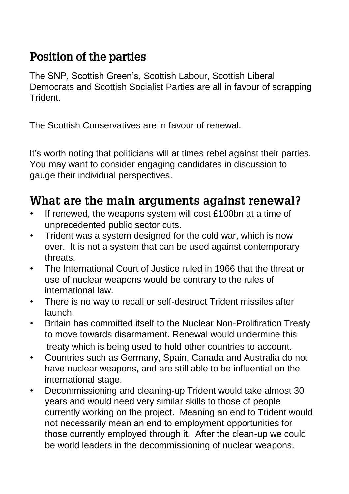### **Position of the parties**

The SNP, Scottish Green's, Scottish Labour, Scottish Liberal Democrats and Scottish Socialist Parties are all in favour of scrapping Trident.

The Scottish Conservatives are in favour of renewal.

It's worth noting that politicians will at times rebel against their parties. You may want to consider engaging candidates in discussion to gauge their individual perspectives.

## What are the main arguments against renewal?

- If renewed, the weapons system will cost £100bn at a time of unprecedented public sector cuts.
- Trident was a system designed for the cold war, which is now over. It is not a system that can be used against contemporary threats.
- The International Court of Justice ruled in 1966 that the threat or use of nuclear weapons would be contrary to the rules of international law.
- There is no way to recall or self-destruct Trident missiles after launch.
- Britain has committed itself to the Nuclear Non-Prolifiration Treaty to move towards disarmament. Renewal would undermine this treaty which is being used to hold other countries to account.
- Countries such as Germany, Spain, Canada and Australia do not have nuclear weapons, and are still able to be influential on the international stage.
- Decommissioning and cleaning-up Trident would take almost 30 years and would need very similar skills to those of people currently working on the project. Meaning an end to Trident would not necessarily mean an end to employment opportunities for those currently employed through it. After the clean-up we could be world leaders in the decommissioning of nuclear weapons.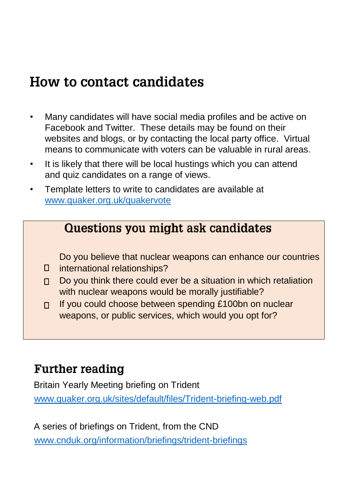# How to contact candidates

- Many candidates will have social media profiles and be active on Facebook and Twitter. These details may be found on their websites and blogs, or by contacting the local party office. Virtual means to communicate with voters can be valuable in rural areas.
- It is likely that there will be local hustings which you can attend and quiz candidates on a range of views.
- Template letters to write to candidates are available at [www.quaker.org.uk/quakervote](http://www.quaker.org.uk/quakervote)

#### Questions you might ask candidates

Do you believe that nuclear weapons can enhance our countries

- $\Box$ international relationships?
- Do you think there could ever be a situation in which retaliation П. with nuclear weapons would be morally justifiable?
- If you could choose between spending £100bn on nuclear П. weapons, or public services, which would you opt for?

## **Further reading**

Britain Yearly Meeting briefing on Trident [www.quaker.org.uk/sites/default/files/Trident-briefing-web.pdf](http://www.quaker.org.uk/sites/default/files/Trident-briefing-web.pdf)

A series of briefings on Trident, from the CND [www.cnduk.org/information/briefings/trident-briefings](http://www.cnduk.org/information/briefings/trident-briefings)